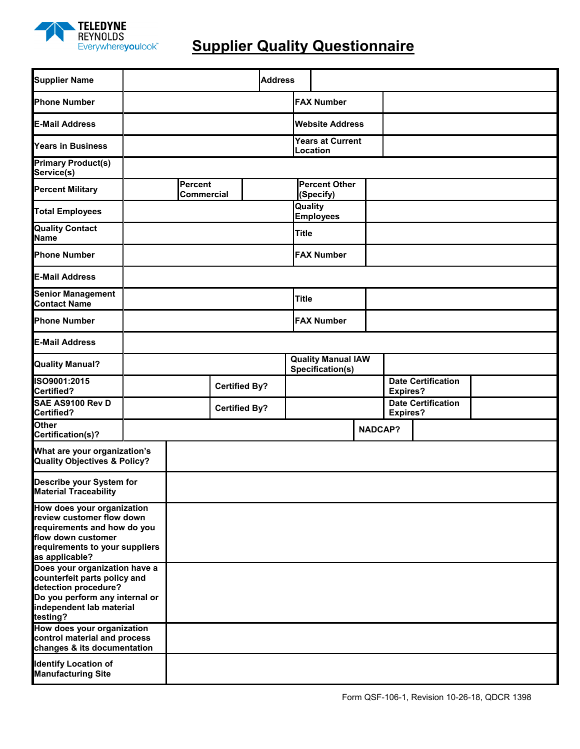

## **Supplier Quality Questionnaire**

| <b>Supplier Name</b>                                                                                                                                                              |                                     |                      |  |  | <b>Address</b>       |                                   |                                               |  |                 |                           |                                              |  |
|-----------------------------------------------------------------------------------------------------------------------------------------------------------------------------------|-------------------------------------|----------------------|--|--|----------------------|-----------------------------------|-----------------------------------------------|--|-----------------|---------------------------|----------------------------------------------|--|
| <b>Phone Number</b>                                                                                                                                                               |                                     |                      |  |  |                      |                                   | <b>FAX Number</b>                             |  |                 |                           |                                              |  |
| <b>E-Mail Address</b>                                                                                                                                                             |                                     |                      |  |  |                      |                                   | <b>Website Address</b>                        |  |                 |                           |                                              |  |
| <b>Years in Business</b>                                                                                                                                                          |                                     |                      |  |  |                      |                                   | Years at Current<br>Location                  |  |                 |                           |                                              |  |
| <b>Primary Product(s)</b><br>Service(s)                                                                                                                                           |                                     |                      |  |  |                      |                                   |                                               |  |                 |                           |                                              |  |
| <b>Percent Military</b>                                                                                                                                                           | <b>Percent</b><br><b>Commercial</b> |                      |  |  |                      | <b>Percent Other</b><br>(Specify) |                                               |  |                 |                           |                                              |  |
| <b>Total Employees</b>                                                                                                                                                            |                                     |                      |  |  |                      | Quality<br><b>Employees</b>       |                                               |  |                 |                           |                                              |  |
| <b>Quality Contact</b><br><b>Name</b>                                                                                                                                             |                                     |                      |  |  |                      |                                   | <b>Title</b>                                  |  |                 |                           |                                              |  |
| <b>Phone Number</b>                                                                                                                                                               |                                     |                      |  |  |                      |                                   | <b>FAX Number</b>                             |  |                 |                           |                                              |  |
| <b>E-Mail Address</b>                                                                                                                                                             |                                     |                      |  |  |                      |                                   |                                               |  |                 |                           |                                              |  |
| <b>Senior Management</b><br><b>Contact Name</b>                                                                                                                                   |                                     |                      |  |  |                      |                                   | <b>Title</b>                                  |  |                 |                           |                                              |  |
| <b>Phone Number</b>                                                                                                                                                               |                                     |                      |  |  |                      |                                   | <b>FAX Number</b>                             |  |                 |                           |                                              |  |
| <b>E-Mail Address</b>                                                                                                                                                             |                                     |                      |  |  |                      |                                   |                                               |  |                 |                           |                                              |  |
| <b>Quality Manual?</b>                                                                                                                                                            |                                     |                      |  |  |                      |                                   | <b>Quality Manual IAW</b><br>Specification(s) |  |                 |                           |                                              |  |
| ISO9001:2015<br>Certified?                                                                                                                                                        |                                     |                      |  |  | <b>Certified By?</b> |                                   |                                               |  |                 |                           | <b>Date Certification</b><br><b>Expires?</b> |  |
| SAE AS9100 Rev D<br>Certified?                                                                                                                                                    |                                     | <b>Certified By?</b> |  |  |                      |                                   |                                               |  | <b>Expires?</b> | <b>Date Certification</b> |                                              |  |
| <b>Other</b><br>Certification(s)?                                                                                                                                                 |                                     |                      |  |  |                      |                                   |                                               |  | <b>NADCAP?</b>  |                           |                                              |  |
| What are your organization's<br>Quality Objectives & Policy?                                                                                                                      |                                     |                      |  |  |                      |                                   |                                               |  |                 |                           |                                              |  |
| Describe your System for<br>Material Traceability                                                                                                                                 |                                     |                      |  |  |                      |                                   |                                               |  |                 |                           |                                              |  |
| How does your organization<br>review customer flow down<br>requirements and how do you<br>flow down customer<br>requirements to your suppliers                                    |                                     |                      |  |  |                      |                                   |                                               |  |                 |                           |                                              |  |
| as applicable?<br>Does your organization have a<br>counterfeit parts policy and<br>detection procedure?<br>Do you perform any internal or<br>independent lab material<br>testing? |                                     |                      |  |  |                      |                                   |                                               |  |                 |                           |                                              |  |
| How does your organization<br>control material and process<br>changes & its documentation                                                                                         |                                     |                      |  |  |                      |                                   |                                               |  |                 |                           |                                              |  |
| <b>Identify Location of</b><br><b>Manufacturing Site</b>                                                                                                                          |                                     |                      |  |  |                      |                                   |                                               |  |                 |                           |                                              |  |